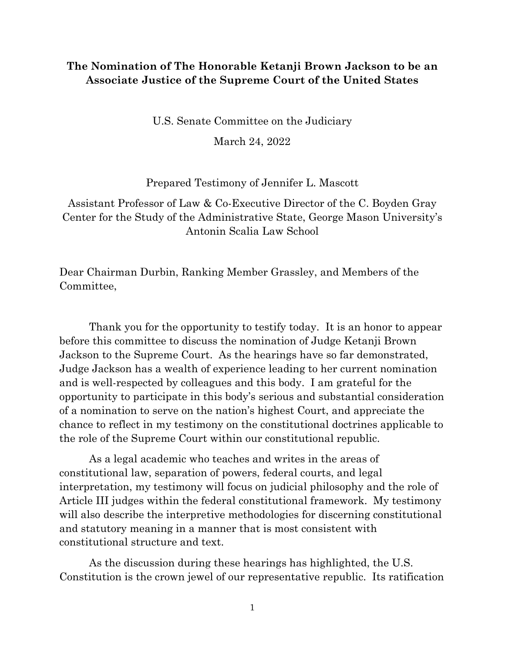## **The Nomination of The Honorable Ketanji Brown Jackson to be an Associate Justice of the Supreme Court of the United States**

U.S. Senate Committee on the Judiciary

March 24, 2022

## Prepared Testimony of Jennifer L. Mascott

Assistant Professor of Law & Co-Executive Director of the C. Boyden Gray Center for the Study of the Administrative State, George Mason University's Antonin Scalia Law School

Dear Chairman Durbin, Ranking Member Grassley, and Members of the Committee,

Thank you for the opportunity to testify today. It is an honor to appear before this committee to discuss the nomination of Judge Ketanji Brown Jackson to the Supreme Court. As the hearings have so far demonstrated, Judge Jackson has a wealth of experience leading to her current nomination and is well-respected by colleagues and this body. I am grateful for the opportunity to participate in this body's serious and substantial consideration of a nomination to serve on the nation's highest Court, and appreciate the chance to reflect in my testimony on the constitutional doctrines applicable to the role of the Supreme Court within our constitutional republic.

As a legal academic who teaches and writes in the areas of constitutional law, separation of powers, federal courts, and legal interpretation, my testimony will focus on judicial philosophy and the role of Article III judges within the federal constitutional framework. My testimony will also describe the interpretive methodologies for discerning constitutional and statutory meaning in a manner that is most consistent with constitutional structure and text.

As the discussion during these hearings has highlighted, the U.S. Constitution is the crown jewel of our representative republic. Its ratification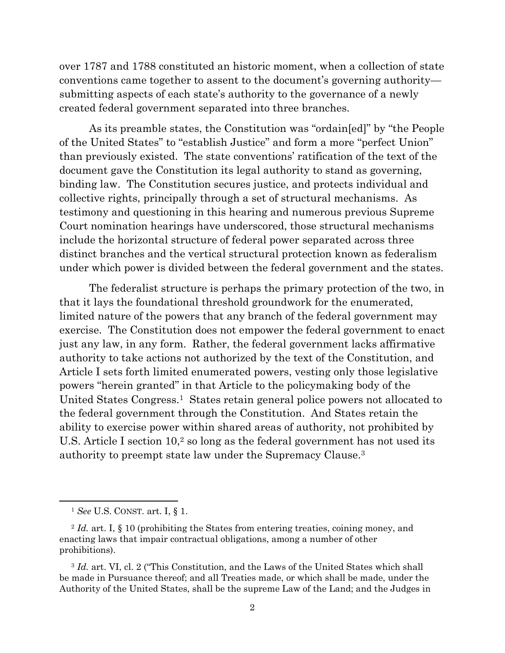over 1787 and 1788 constituted an historic moment, when a collection of state conventions came together to assent to the document's governing authority submitting aspects of each state's authority to the governance of a newly created federal government separated into three branches.

As its preamble states, the Constitution was "ordain[ed]" by "the People of the United States" to "establish Justice" and form a more "perfect Union" than previously existed. The state conventions' ratification of the text of the document gave the Constitution its legal authority to stand as governing, binding law. The Constitution secures justice, and protects individual and collective rights, principally through a set of structural mechanisms. As testimony and questioning in this hearing and numerous previous Supreme Court nomination hearings have underscored, those structural mechanisms include the horizontal structure of federal power separated across three distinct branches and the vertical structural protection known as federalism under which power is divided between the federal government and the states.

The federalist structure is perhaps the primary protection of the two, in that it lays the foundational threshold groundwork for the enumerated, limited nature of the powers that any branch of the federal government may exercise. The Constitution does not empower the federal government to enact just any law, in any form. Rather, the federal government lacks affirmative authority to take actions not authorized by the text of the Constitution, and Article I sets forth limited enumerated powers, vesting only those legislative powers "herein granted" in that Article to the policymaking body of the United States Congress.<sup>1</sup> States retain general police powers not allocated to the federal government through the Constitution. And States retain the ability to exercise power within shared areas of authority, not prohibited by U.S. Article I section  $10<sup>2</sup>$  so long as the federal government has not used its authority to preempt state law under the Supremacy Clause.<sup>3</sup>

<sup>1</sup> *See* U.S. CONST. art. I, § 1.

<sup>2</sup> *Id.* art. I, § 10 (prohibiting the States from entering treaties, coining money, and enacting laws that impair contractual obligations, among a number of other prohibitions).

<sup>3</sup> *Id.* art. VI, cl. 2 ("This Constitution, and the Laws of the United States which shall be made in Pursuance thereof; and all Treaties made, or which shall be made, under the Authority of the United States, shall be the supreme Law of the Land; and the Judges in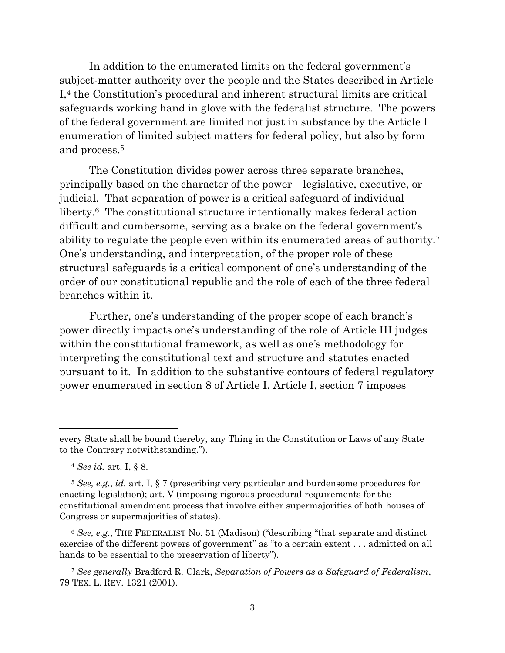In addition to the enumerated limits on the federal government's subject-matter authority over the people and the States described in Article I,<sup>4</sup> the Constitution's procedural and inherent structural limits are critical safeguards working hand in glove with the federalist structure. The powers of the federal government are limited not just in substance by the Article I enumeration of limited subject matters for federal policy, but also by form and process.<sup>5</sup>

The Constitution divides power across three separate branches, principally based on the character of the power—legislative, executive, or judicial. That separation of power is a critical safeguard of individual liberty.<sup>6</sup> The constitutional structure intentionally makes federal action difficult and cumbersome, serving as a brake on the federal government's ability to regulate the people even within its enumerated areas of authority.<sup>7</sup> One's understanding, and interpretation, of the proper role of these structural safeguards is a critical component of one's understanding of the order of our constitutional republic and the role of each of the three federal branches within it.

Further, one's understanding of the proper scope of each branch's power directly impacts one's understanding of the role of Article III judges within the constitutional framework, as well as one's methodology for interpreting the constitutional text and structure and statutes enacted pursuant to it. In addition to the substantive contours of federal regulatory power enumerated in section 8 of Article I, Article I, section 7 imposes

<sup>6</sup> *See, e.g.*, THE FEDERALIST No. 51 (Madison) ("describing "that separate and distinct exercise of the different powers of government" as "to a certain extent . . . admitted on all hands to be essential to the preservation of liberty").

every State shall be bound thereby, any Thing in the Constitution or Laws of any State to the Contrary notwithstanding.").

<sup>4</sup> *See id.* art. I, § 8.

<sup>5</sup> *See, e.g.*, *id.* art. I, § 7 (prescribing very particular and burdensome procedures for enacting legislation); art. V (imposing rigorous procedural requirements for the constitutional amendment process that involve either supermajorities of both houses of Congress or supermajorities of states).

<sup>7</sup> *See generally* Bradford R. Clark, *Separation of Powers as a Safeguard of Federalism*, 79 TEX. L. REV. 1321 (2001).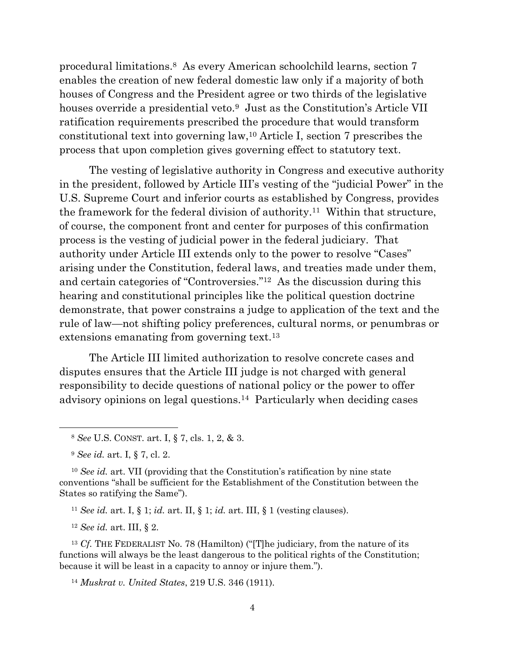procedural limitations.8 As every American schoolchild learns, section 7 enables the creation of new federal domestic law only if a majority of both houses of Congress and the President agree or two thirds of the legislative houses override a presidential veto.<sup>9</sup> Just as the Constitution's Article VII ratification requirements prescribed the procedure that would transform constitutional text into governing law,<sup>10</sup> Article I, section 7 prescribes the process that upon completion gives governing effect to statutory text.

The vesting of legislative authority in Congress and executive authority in the president, followed by Article III's vesting of the "judicial Power" in the U.S. Supreme Court and inferior courts as established by Congress, provides the framework for the federal division of authority.11 Within that structure, of course, the component front and center for purposes of this confirmation process is the vesting of judicial power in the federal judiciary. That authority under Article III extends only to the power to resolve "Cases" arising under the Constitution, federal laws, and treaties made under them, and certain categories of "Controversies."12 As the discussion during this hearing and constitutional principles like the political question doctrine demonstrate, that power constrains a judge to application of the text and the rule of law—not shifting policy preferences, cultural norms, or penumbras or extensions emanating from governing text.<sup>13</sup>

The Article III limited authorization to resolve concrete cases and disputes ensures that the Article III judge is not charged with general responsibility to decide questions of national policy or the power to offer advisory opinions on legal questions.14 Particularly when deciding cases

<sup>11</sup> *See id.* art. I, § 1; *id.* art. II, § 1; *id.* art. III, § 1 (vesting clauses).

<sup>12</sup> *See id.* art. III, § 2.

<sup>13</sup> *Cf.* THE FEDERALIST No. 78 (Hamilton) ("[T]he judiciary, from the nature of its functions will always be the least dangerous to the political rights of the Constitution; because it will be least in a capacity to annoy or injure them.").

<sup>14</sup> *Muskrat v. United States*, 219 U.S. 346 (1911).

<sup>8</sup> *See* U.S. CONST. art. I, § 7, cls. 1, 2, & 3.

<sup>9</sup> *See id.* art. I, § 7, cl. 2.

<sup>10</sup> *See id.* art. VII (providing that the Constitution's ratification by nine state conventions "shall be sufficient for the Establishment of the Constitution between the States so ratifying the Same").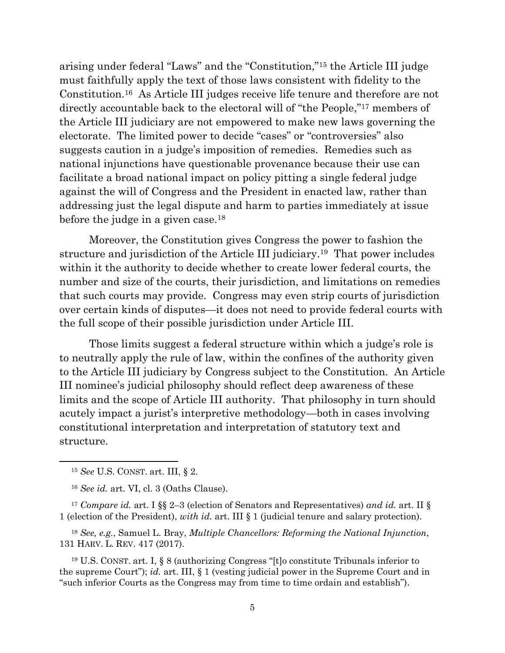arising under federal "Laws" and the "Constitution,"<sup>15</sup> the Article III judge must faithfully apply the text of those laws consistent with fidelity to the Constitution.16 As Article III judges receive life tenure and therefore are not directly accountable back to the electoral will of "the People,"<sup>17</sup> members of the Article III judiciary are not empowered to make new laws governing the electorate. The limited power to decide "cases" or "controversies" also suggests caution in a judge's imposition of remedies. Remedies such as national injunctions have questionable provenance because their use can facilitate a broad national impact on policy pitting a single federal judge against the will of Congress and the President in enacted law, rather than addressing just the legal dispute and harm to parties immediately at issue before the judge in a given case.<sup>18</sup>

Moreover, the Constitution gives Congress the power to fashion the structure and jurisdiction of the Article III judiciary.19 That power includes within it the authority to decide whether to create lower federal courts, the number and size of the courts, their jurisdiction, and limitations on remedies that such courts may provide. Congress may even strip courts of jurisdiction over certain kinds of disputes—it does not need to provide federal courts with the full scope of their possible jurisdiction under Article III.

Those limits suggest a federal structure within which a judge's role is to neutrally apply the rule of law, within the confines of the authority given to the Article III judiciary by Congress subject to the Constitution. An Article III nominee's judicial philosophy should reflect deep awareness of these limits and the scope of Article III authority. That philosophy in turn should acutely impact a jurist's interpretive methodology—both in cases involving constitutional interpretation and interpretation of statutory text and structure.

<sup>17</sup> *Compare id.* art. I §§ 2–3 (election of Senators and Representatives) *and id.* art. II § 1 (election of the President), *with id.* art. III § 1 (judicial tenure and salary protection).

<sup>18</sup> *See, e.g.*, Samuel L. Bray, *Multiple Chancellors: Reforming the National Injunction*, 131 HARV. L. REV. 417 (2017).

<sup>19</sup> U.S. CONST. art. I, § 8 (authorizing Congress "[t]o constitute Tribunals inferior to the supreme Court"); *id.* art. III, § 1 (vesting judicial power in the Supreme Court and in "such inferior Courts as the Congress may from time to time ordain and establish").

<sup>15</sup> *See* U.S. CONST. art. III, § 2.

<sup>16</sup> *See id.* art. VI, cl. 3 (Oaths Clause).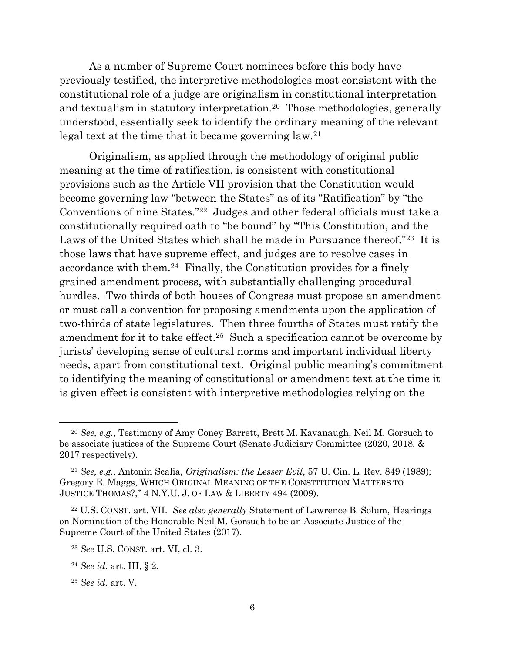As a number of Supreme Court nominees before this body have previously testified, the interpretive methodologies most consistent with the constitutional role of a judge are originalism in constitutional interpretation and textualism in statutory interpretation.20 Those methodologies, generally understood, essentially seek to identify the ordinary meaning of the relevant legal text at the time that it became governing law.<sup>21</sup>

Originalism, as applied through the methodology of original public meaning at the time of ratification, is consistent with constitutional provisions such as the Article VII provision that the Constitution would become governing law "between the States" as of its "Ratification" by "the Conventions of nine States."22 Judges and other federal officials must take a constitutionally required oath to "be bound" by "This Constitution, and the Laws of the United States which shall be made in Pursuance thereof."23 It is those laws that have supreme effect, and judges are to resolve cases in accordance with them.24 Finally, the Constitution provides for a finely grained amendment process, with substantially challenging procedural hurdles. Two thirds of both houses of Congress must propose an amendment or must call a convention for proposing amendments upon the application of two-thirds of state legislatures. Then three fourths of States must ratify the amendment for it to take effect.<sup>25</sup> Such a specification cannot be overcome by jurists' developing sense of cultural norms and important individual liberty needs, apart from constitutional text. Original public meaning's commitment to identifying the meaning of constitutional or amendment text at the time it is given effect is consistent with interpretive methodologies relying on the

<sup>20</sup> *See, e.g.*, Testimony of Amy Coney Barrett, Brett M. Kavanaugh, Neil M. Gorsuch to be associate justices of the Supreme Court (Senate Judiciary Committee (2020, 2018, & 2017 respectively).

<sup>21</sup> *See, e.g.*, Antonin Scalia, *Originalism: the Lesser Evil*, 57 U. Cin. L. Rev. 849 (1989); Gregory E. Maggs, WHICH ORIGINAL MEANING OF THE CONSTITUTION MATTERS TO JUSTICE THOMAS?," 4 N.Y.U. J. OF LAW & LIBERTY 494 (2009).

<sup>22</sup> U.S. CONST. art. VII. *See also generally* Statement of Lawrence B. Solum, Hearings on Nomination of the Honorable Neil M. Gorsuch to be an Associate Justice of the Supreme Court of the United States (2017).

<sup>23</sup> *See* U.S. CONST. art. VI, cl. 3.

<sup>24</sup> *See id.* art. III, § 2.

<sup>25</sup> *See id.* art. V.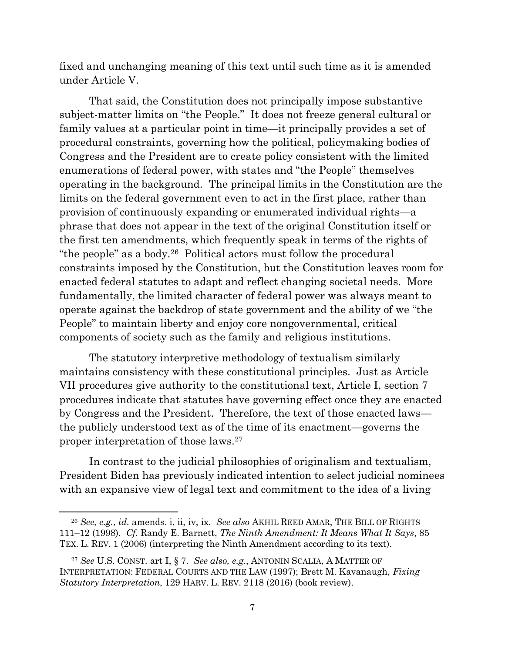fixed and unchanging meaning of this text until such time as it is amended under Article V.

That said, the Constitution does not principally impose substantive subject-matter limits on "the People." It does not freeze general cultural or family values at a particular point in time—it principally provides a set of procedural constraints, governing how the political, policymaking bodies of Congress and the President are to create policy consistent with the limited enumerations of federal power, with states and "the People" themselves operating in the background. The principal limits in the Constitution are the limits on the federal government even to act in the first place, rather than provision of continuously expanding or enumerated individual rights—a phrase that does not appear in the text of the original Constitution itself or the first ten amendments, which frequently speak in terms of the rights of "the people" as a body.<sup>26</sup> Political actors must follow the procedural constraints imposed by the Constitution, but the Constitution leaves room for enacted federal statutes to adapt and reflect changing societal needs. More fundamentally, the limited character of federal power was always meant to operate against the backdrop of state government and the ability of we "the People" to maintain liberty and enjoy core nongovernmental, critical components of society such as the family and religious institutions.

The statutory interpretive methodology of textualism similarly maintains consistency with these constitutional principles. Just as Article VII procedures give authority to the constitutional text, Article I, section 7 procedures indicate that statutes have governing effect once they are enacted by Congress and the President. Therefore, the text of those enacted laws the publicly understood text as of the time of its enactment—governs the proper interpretation of those laws.<sup>27</sup>

In contrast to the judicial philosophies of originalism and textualism, President Biden has previously indicated intention to select judicial nominees with an expansive view of legal text and commitment to the idea of a living

<sup>26</sup> *See, e.g.*, *id.* amends. i, ii, iv, ix. *See also* AKHIL REED AMAR, THE BILL OF RIGHTS 111–12 (1998). *Cf.* Randy E. Barnett, *The Ninth Amendment: It Means What It Says*, 85 TEX. L. REV. 1 (2006) (interpreting the Ninth Amendment according to its text).

<sup>27</sup> *See* U.S. CONST. art I, § 7. *See also, e.g.*, ANTONIN SCALIA, A MATTER OF INTERPRETATION: FEDERAL COURTS AND THE LAW (1997); Brett M. Kavanaugh, *Fixing Statutory Interpretation*, 129 HARV. L. REV. 2118 (2016) (book review).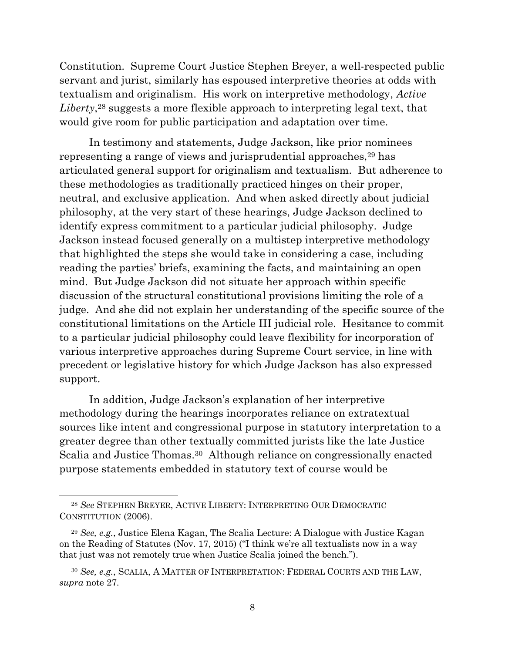Constitution. Supreme Court Justice Stephen Breyer, a well-respected public servant and jurist, similarly has espoused interpretive theories at odds with textualism and originalism. His work on interpretive methodology, *Active*  Liberty,<sup>28</sup> suggests a more flexible approach to interpreting legal text, that would give room for public participation and adaptation over time.

In testimony and statements, Judge Jackson, like prior nominees representing a range of views and jurisprudential approaches,<sup>29</sup> has articulated general support for originalism and textualism. But adherence to these methodologies as traditionally practiced hinges on their proper, neutral, and exclusive application. And when asked directly about judicial philosophy, at the very start of these hearings, Judge Jackson declined to identify express commitment to a particular judicial philosophy. Judge Jackson instead focused generally on a multistep interpretive methodology that highlighted the steps she would take in considering a case, including reading the parties' briefs, examining the facts, and maintaining an open mind. But Judge Jackson did not situate her approach within specific discussion of the structural constitutional provisions limiting the role of a judge. And she did not explain her understanding of the specific source of the constitutional limitations on the Article III judicial role. Hesitance to commit to a particular judicial philosophy could leave flexibility for incorporation of various interpretive approaches during Supreme Court service, in line with precedent or legislative history for which Judge Jackson has also expressed support.

In addition, Judge Jackson's explanation of her interpretive methodology during the hearings incorporates reliance on extratextual sources like intent and congressional purpose in statutory interpretation to a greater degree than other textually committed jurists like the late Justice Scalia and Justice Thomas. <sup>30</sup> Although reliance on congressionally enacted purpose statements embedded in statutory text of course would be

<sup>28</sup> *See* STEPHEN BREYER, ACTIVE LIBERTY: INTERPRETING OUR DEMOCRATIC CONSTITUTION (2006).

<sup>29</sup> *See, e.g.*, Justice Elena Kagan, The Scalia Lecture: A Dialogue with Justice Kagan on the Reading of Statutes (Nov. 17, 2015) ("I think we're all textualists now in a way that just was not remotely true when Justice Scalia joined the bench.").

<sup>30</sup> *See, e.g.*, SCALIA, A MATTER OF INTERPRETATION: FEDERAL COURTS AND THE LAW, *supra* note 27.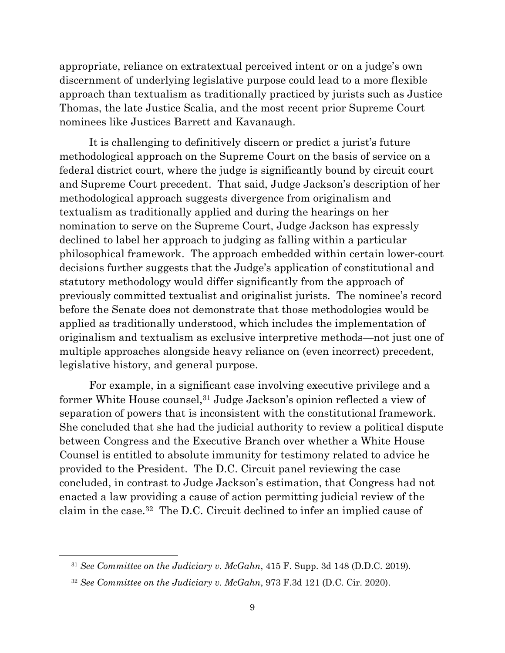appropriate, reliance on extratextual perceived intent or on a judge's own discernment of underlying legislative purpose could lead to a more flexible approach than textualism as traditionally practiced by jurists such as Justice Thomas, the late Justice Scalia, and the most recent prior Supreme Court nominees like Justices Barrett and Kavanaugh.

It is challenging to definitively discern or predict a jurist's future methodological approach on the Supreme Court on the basis of service on a federal district court, where the judge is significantly bound by circuit court and Supreme Court precedent. That said, Judge Jackson's description of her methodological approach suggests divergence from originalism and textualism as traditionally applied and during the hearings on her nomination to serve on the Supreme Court, Judge Jackson has expressly declined to label her approach to judging as falling within a particular philosophical framework. The approach embedded within certain lower-court decisions further suggests that the Judge's application of constitutional and statutory methodology would differ significantly from the approach of previously committed textualist and originalist jurists. The nominee's record before the Senate does not demonstrate that those methodologies would be applied as traditionally understood, which includes the implementation of originalism and textualism as exclusive interpretive methods—not just one of multiple approaches alongside heavy reliance on (even incorrect) precedent, legislative history, and general purpose.

For example, in a significant case involving executive privilege and a former White House counsel,<sup>31</sup> Judge Jackson's opinion reflected a view of separation of powers that is inconsistent with the constitutional framework. She concluded that she had the judicial authority to review a political dispute between Congress and the Executive Branch over whether a White House Counsel is entitled to absolute immunity for testimony related to advice he provided to the President. The D.C. Circuit panel reviewing the case concluded, in contrast to Judge Jackson's estimation, that Congress had not enacted a law providing a cause of action permitting judicial review of the claim in the case.<sup>32</sup> The D.C. Circuit declined to infer an implied cause of

<sup>31</sup> *See Committee on the Judiciary v. McGahn*, 415 F. Supp. 3d 148 (D.D.C. 2019).

<sup>32</sup> *See Committee on the Judiciary v. McGahn*, 973 F.3d 121 (D.C. Cir. 2020).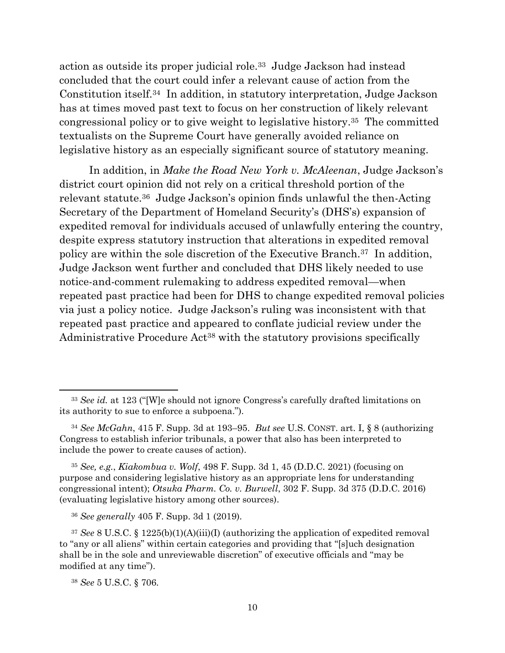action as outside its proper judicial role.<sup>33</sup> Judge Jackson had instead concluded that the court could infer a relevant cause of action from the Constitution itself.<sup>34</sup> In addition, in statutory interpretation, Judge Jackson has at times moved past text to focus on her construction of likely relevant congressional policy or to give weight to legislative history. <sup>35</sup> The committed textualists on the Supreme Court have generally avoided reliance on legislative history as an especially significant source of statutory meaning.

In addition, in *Make the Road New York v. McAleenan*, Judge Jackson's district court opinion did not rely on a critical threshold portion of the relevant statute.<sup>36</sup> Judge Jackson's opinion finds unlawful the then-Acting Secretary of the Department of Homeland Security's (DHS's) expansion of expedited removal for individuals accused of unlawfully entering the country, despite express statutory instruction that alterations in expedited removal policy are within the sole discretion of the Executive Branch.37 In addition, Judge Jackson went further and concluded that DHS likely needed to use notice-and-comment rulemaking to address expedited removal—when repeated past practice had been for DHS to change expedited removal policies via just a policy notice. Judge Jackson's ruling was inconsistent with that repeated past practice and appeared to conflate judicial review under the Administrative Procedure Act<sup>38</sup> with the statutory provisions specifically

<sup>&</sup>lt;sup>33</sup> *See id.* at 123 ("[W]e should not ignore Congress's carefully drafted limitations on its authority to sue to enforce a subpoena.").

<sup>34</sup> *See McGahn*, 415 F. Supp. 3d at 193–95. *But see* U.S. CONST. art. I, § 8 (authorizing Congress to establish inferior tribunals, a power that also has been interpreted to include the power to create causes of action).

<sup>35</sup> *See, e.g.*, *Kiakombua v. Wolf*, 498 F. Supp. 3d 1, 45 (D.D.C. 2021) (focusing on purpose and considering legislative history as an appropriate lens for understanding congressional intent); *Otsuka Pharm. Co. v. Burwell*, 302 F. Supp. 3d 375 (D.D.C. 2016) (evaluating legislative history among other sources).

<sup>36</sup> *See generally* 405 F. Supp. 3d 1 (2019).

<sup>37</sup> *See* 8 U.S.C. § 1225(b)(1)(A)(iii)(I) (authorizing the application of expedited removal to "any or all aliens" within certain categories and providing that "[s]uch designation shall be in the sole and unreviewable discretion" of executive officials and "may be modified at any time").

<sup>38</sup> *See* 5 U.S.C. § 706.